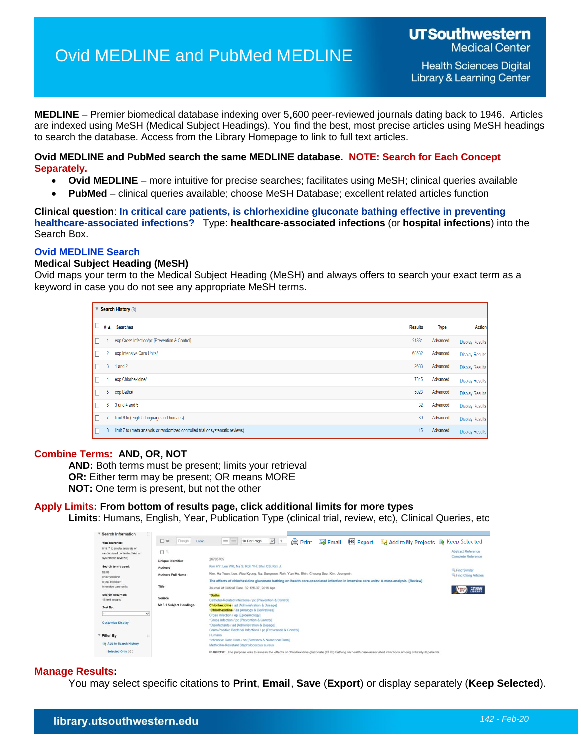# Ovid MEDLINE and PubMed MEDLINE

**Health Sciences Digital Library & Learning Center** 

**MEDLINE** – Premier biomedical database indexing over 5,600 peer-reviewed journals dating back to 1946. Articles are indexed using MeSH (Medical Subject Headings). You find the best, most precise articles using MeSH headings to search the database. Access from the Library Homepage to link to full text articles.

**Ovid MEDLINE and PubMed search the same MEDLINE database. NOTE: Search for Each Concept Separately.**

- **Ovid MEDLINE**  more intuitive for precise searches; facilitates using MeSH; clinical queries available
- **PubMed** clinical queries available; choose MeSH Database; excellent related articles function

**Clinical question**: **In critical care patients, is chlorhexidine gluconate bathing effective in preventing healthcare-associated infections?** Type: **healthcare-associated infections** (or **hospital infections**) into the Search Box.

# **Ovid MEDLINE Search**

# **Medical Subject Heading (MeSH)**

Ovid maps your term to the Medical Subject Heading (MeSH) and always offers to search your exact term as a keyword in case you do not see any appropriate MeSH terms.

|                          | Search History (8)                                                              |                |             |                        |
|--------------------------|---------------------------------------------------------------------------------|----------------|-------------|------------------------|
| Ⅰ□<br># $\blacktriangle$ | <b>Searches</b>                                                                 | <b>Results</b> | <b>Type</b> | <b>Action</b>          |
| IC                       | exp Cross Infection/pc [Prevention & Control]                                   | 21831          | Advanced    | <b>Display Results</b> |
| IΓ<br>2                  | exp Intensive Care Units/                                                       | 68532          | Advanced    | <b>Display Results</b> |
| IC<br>3                  | 1 and 2                                                                         | 2683           | Advanced    | <b>Display Results</b> |
| IГ<br>4                  | exp Chlorhexidine/                                                              | 7345           | Advanced    | <b>Display Results</b> |
| IE<br>5                  | exp Baths/                                                                      | 5023           | Advanced    | <b>Display Results</b> |
| IС<br>6                  | $3$ and $4$ and $5$                                                             | 32             | Advanced    | <b>Display Results</b> |
| IГ                       | limit 6 to (english language and humans)                                        | 30             | Advanced    | <b>Display Results</b> |
| IC<br>8                  | limit 7 to (meta analysis or randomized controlled trial or systematic reviews) | 15             | Advanced    | <b>Display Results</b> |

# **Combine Terms: AND, OR, NOT**

**AND:** Both terms must be present; limits your retrieval **OR:** Either term may be present; OR means MORE **NOT:** One term is present, but not the other

**Apply Limits: From bottom of results page, click additional limits for more types Limits**: Humans, English, Year, Publication Type (clinical trial, review, etc), Clinical Queries, etc

| <b>Search Information</b>                                      |                              |                |                                                                                                                                       |                          |              |              |                 |                                                                                                                                                             |                                                 |
|----------------------------------------------------------------|------------------------------|----------------|---------------------------------------------------------------------------------------------------------------------------------------|--------------------------|--------------|--------------|-----------------|-------------------------------------------------------------------------------------------------------------------------------------------------------------|-------------------------------------------------|
| You searched:                                                  | A                            | Range<br>Clear | 10 Per Page<br>$=$ $=$                                                                                                                | $\vee$<br>$\overline{1}$ | <b>Print</b> | <b>Email</b> | <b>B</b> Export | Add to My Projects & Keep Selected                                                                                                                          |                                                 |
| limit 7 to (meta analysis or<br>randomized controlled trial or | $\square$ 1.                 |                |                                                                                                                                       |                          |              |              |                 |                                                                                                                                                             | <b>Abstract Reference</b><br>Complete Reference |
| systematic reviews)                                            | Unique Identifier            |                | 26705765                                                                                                                              |                          |              |              |                 |                                                                                                                                                             |                                                 |
| Search terms used:                                             | Authors                      |                | Kim HY: Lee WK: Na S: Roh YH: Shin CS: Kim J.                                                                                         |                          |              |              |                 |                                                                                                                                                             |                                                 |
| baths<br>chlorhexidine                                         | <b>Authors Full Name</b>     |                | Kim, Ha Yeon; Lee, Woo Kyung; Na, Sungwon; Roh, Yun Ho; Shin, Cheung Soo; Kim, Jeongmin.                                              |                          |              |              |                 |                                                                                                                                                             | Find Similar<br>Find Citing Articles            |
| cross infection                                                |                              |                | The effects of chlorhexidine gluconate bathing on health care-associated infection in intensive care units: A meta-analysis. [Review] |                          |              |              |                 |                                                                                                                                                             |                                                 |
| intensive care units                                           | Title                        |                | Journal of Critical Care. 32:126-37. 2016 Apr.                                                                                        |                          |              |              |                 |                                                                                                                                                             |                                                 |
| Search Returned:<br>15 text results                            | Source                       |                | <b>Baths</b><br>Catheter-Related Infections / pc [Prevention & Control]                                                               |                          |              |              |                 |                                                                                                                                                             |                                                 |
| Sort By:                                                       | <b>MeSH Subject Headings</b> |                | <b>Chlorhexidine</b> / ad [Administration & Dosage]<br>"Chlorhexidine / aa [Analogs & Derivatives]                                    |                          |              |              |                 |                                                                                                                                                             |                                                 |
| $\checkmark$                                                   |                              |                | Cross Infection / ep [Epidemiology]                                                                                                   |                          |              |              |                 |                                                                                                                                                             |                                                 |
| <b>Customize Display</b>                                       |                              |                | *Cross Infection / pc [Prevention & Control]                                                                                          |                          |              |              |                 |                                                                                                                                                             |                                                 |
|                                                                |                              |                | *Disinfectants / ad [Administration & Dosage]<br>Gram-Positive Bacterial Infections / pc [Prevention & Control]                       |                          |              |              |                 |                                                                                                                                                             |                                                 |
| Filter By                                                      |                              |                | Humans<br>*Intensive Care Units / sn (Statistics & Numerical Data)                                                                    |                          |              |              |                 |                                                                                                                                                             |                                                 |
| Add to Search History                                          |                              |                | Methicillin-Resistant Staphylococcus aureus                                                                                           |                          |              |              |                 |                                                                                                                                                             |                                                 |
| Selected Only (0)                                              |                              |                |                                                                                                                                       |                          |              |              |                 | PURPOSE: The purpose was to assess the effects of chlorhexidine gluconate (CHG) bathing on health care-associated infections among critically ill patients. |                                                 |
|                                                                |                              |                |                                                                                                                                       |                          |              |              |                 |                                                                                                                                                             |                                                 |

# **Manage Results:**

You may select specific citations to **Print**, **Email**, **Save** (**Export**) or display separately (**Keep Selected**).